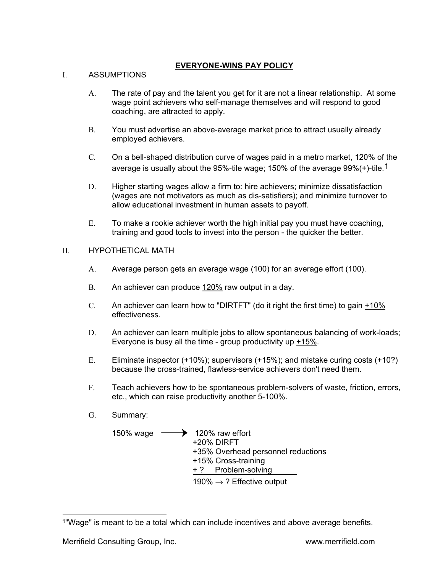## **EVERYONE-WINS PAY POLICY**

# I. ASSUMPTIONS

- A. The rate of pay and the talent you get for it are not a linear relationship. At some wage point achievers who self-manage themselves and will respond to good coaching, are attracted to apply.
- B. You must advertise an above-average market price to attract usually already employed achievers.
- C. On a bell-shaped distribution curve of wages paid in a metro market, 120% of the average is usually about the 95%-tile wage; 150% of the average  $99\%$  (+)-tile.<sup>1</sup>
- D. Higher starting wages allow a firm to: hire achievers; minimize dissatisfaction (wages are not motivators as much as dis-satisfiers); and minimize turnover to allow educational investment in human assets to payoff.
- E. To make a rookie achiever worth the high initial pay you must have coaching, training and good tools to invest into the person - the quicker the better.

# II. HYPOTHETICAL MATH

- A. Average person gets an average wage (100) for an average effort (100).
- B. An achiever can produce 120% raw output in a day.
- C. An achiever can learn how to "DIRTFT" (do it right the first time) to gain  $\pm 10\%$ effectiveness.
- D. An achiever can learn multiple jobs to allow spontaneous balancing of work-loads; Everyone is busy all the time - group productivity up +15%.
- E. Eliminate inspector (+10%); supervisors (+15%); and mistake curing costs (+10?) because the cross-trained, flawless-service achievers don't need them.
- F. Teach achievers how to be spontaneous problem-solvers of waste, friction, errors, etc., which can raise productivity another 5-100%.
- G. Summary:
	- 150% wage  $\longrightarrow$  120% raw effort +20% DIRFT +35% Overhead personnel reductions +15% Cross-training + ? Problem-solving 190%  $\rightarrow$  ? Effective output

**<sup>1</sup>**"Wage" is meant to be a total which can include incentives and above average benefits.